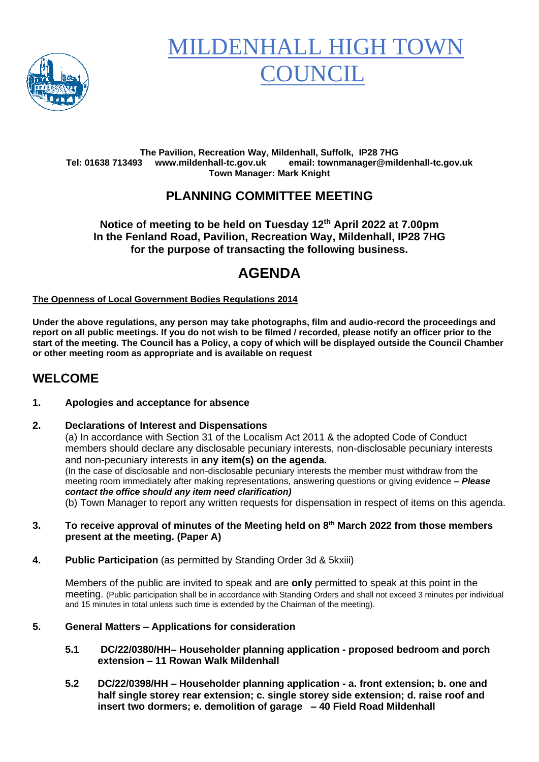

# **MILDENHALL HIGH TO OUNCIL**

#### **The Pavilion, Recreation Way, Mildenhall, Suffolk, IP28 7HG Tel: 01638 713493 www.mildenhall-tc.gov.uk email: townmanager@mildenhall-tc.gov.uk Town Manager: Mark Knight**

# **PLANNING COMMITTEE MEETING**

## **Notice of meeting to be held on Tuesday 12 th April 2022 at 7.00pm In the Fenland Road, Pavilion, Recreation Way, Mildenhall, IP28 7HG for the purpose of transacting the following business.**

# **AGENDA**

## **The Openness of Local Government Bodies Regulations 2014**

**Under the above regulations, any person may take photographs, film and audio-record the proceedings and report on all public meetings. If you do not wish to be filmed / recorded, please notify an officer prior to the start of the meeting. The Council has a Policy, a copy of which will be displayed outside the Council Chamber or other meeting room as appropriate and is available on request**

## **WELCOME**

## **1. Apologies and acceptance for absence**

### **2. Declarations of Interest and Dispensations**

(a) In accordance with Section 31 of the Localism Act 2011 & the adopted Code of Conduct members should declare any disclosable pecuniary interests, non-disclosable pecuniary interests and non-pecuniary interests in **any item(s) on the agenda.** (In the case of disclosable and non-disclosable pecuniary interests the member must withdraw from the meeting room immediately after making representations, answering questions or giving evidence **–** *Please contact the office should any item need clarification)*

(b) Town Manager to report any written requests for dispensation in respect of items on this agenda.

- **3. To receive approval of minutes of the Meeting held on 8 th March 2022 from those members present at the meeting. (Paper A)**
- **4. Public Participation** (as permitted by Standing Order 3d & 5kxiii)

Members of the public are invited to speak and are **only** permitted to speak at this point in the meeting. (Public participation shall be in accordance with Standing Orders and shall not exceed 3 minutes per individual and 15 minutes in total unless such time is extended by the Chairman of the meeting).

## **5. General Matters – Applications for consideration**

- **5.1 DC/22/0380/HH– Householder planning application - proposed bedroom and porch extension – 11 Rowan Walk Mildenhall**
- **5.2 DC/22/0398/HH – Householder planning application - a. front extension; b. one and half single storey rear extension; c. single storey side extension; d. raise roof and insert two dormers; e. demolition of garage – 40 Field Road Mildenhall**